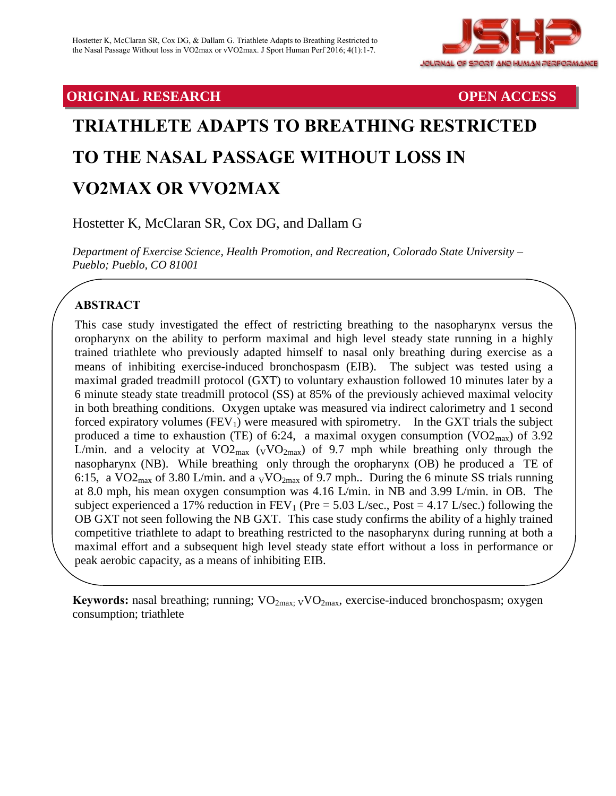

# **ORIGINAL RESEARCH OPEN ACCESS**

# **TRIATHLETE ADAPTS TO BREATHING RESTRICTED TO THE NASAL PASSAGE WITHOUT LOSS IN VO2MAX OR VVO2MAX**

Hostetter K, McClaran SR, Cox DG, and Dallam G

*Department of Exercise Science, Health Promotion, and Recreation, Colorado State University – Pueblo; Pueblo, CO 81001*

# **ABSTRACT**

This case study investigated the effect of restricting breathing to the nasopharynx versus the oropharynx on the ability to perform maximal and high level steady state running in a highly trained triathlete who previously adapted himself to nasal only breathing during exercise as a means of inhibiting exercise-induced bronchospasm (EIB).The subject was tested using a maximal graded treadmill protocol (GXT) to voluntary exhaustion followed 10 minutes later by a 6 minute steady state treadmill protocol (SS) at 85% of the previously achieved maximal velocity in both breathing conditions. Oxygen uptake was measured via indirect calorimetry and 1 second forced expiratory volumes  $(FEV_1)$  were measured with spirometry. In the GXT trials the subject produced a time to exhaustion (TE) of 6:24, a maximal oxygen consumption  $(VO2<sub>max</sub>)$  of 3.92 L/min. and a velocity at  $VO2_{max}$  ( $_VVO2_{max}$ ) of 9.7 mph while breathing only through the nasopharynx (NB). While breathing only through the oropharynx (OB) he produced a TE of 6:15, a VO2<sub>max</sub> of 3.80 L/min. and a  $_V\text{VO}_{2\text{max}}$  of 9.7 mph.. During the 6 minute SS trials running at 8.0 mph, his mean oxygen consumption was 4.16 L/min. in NB and 3.99 L/min. in OB. The subject experienced a 17% reduction in  $FEV_1$  (Pre = 5.03 L/sec., Post = 4.17 L/sec.) following the OB GXT not seen following the NB GXT.This case study confirms the ability of a highly trained competitive triathlete to adapt to breathing restricted to the nasopharynx during running at both a maximal effort and a subsequent high level steady state effort without a loss in performance or peak aerobic capacity, as a means of inhibiting EIB.

Keywords: nasal breathing; running; VO<sub>2max; V</sub>VO<sub>2max</sub>, exercise-induced bronchospasm; oxygen consumption; triathlete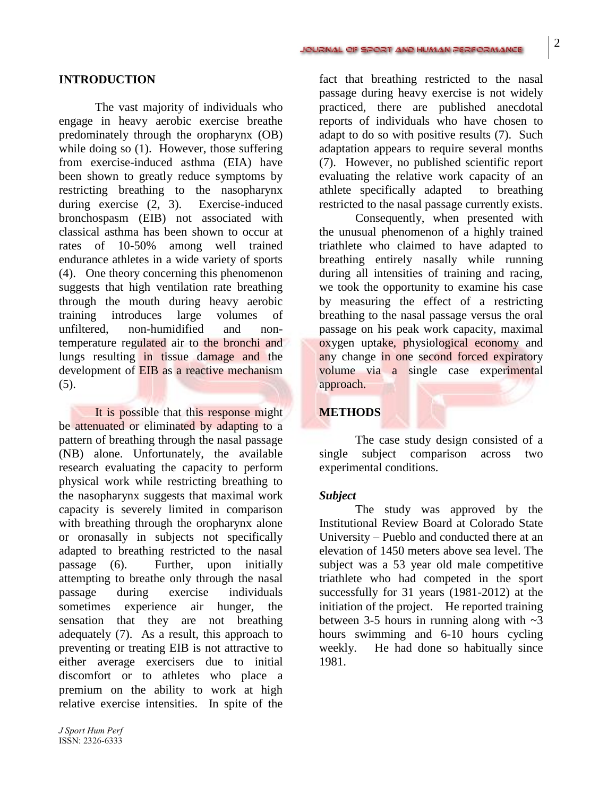#### **INTRODUCTION**

The vast majority of individuals who engage in heavy aerobic exercise breathe predominately through the oropharynx (OB) while doing so (1). However, those suffering from exercise-induced asthma (EIA) have been shown to greatly reduce symptoms by restricting breathing to the nasopharynx during exercise (2, 3). Exercise-induced bronchospasm (EIB) not associated with classical asthma has been shown to occur at rates of 10-50% among well trained endurance athletes in a wide variety of sports (4). One theory concerning this phenomenon suggests that high ventilation rate breathing through the mouth during heavy aerobic training introduces large volumes of unfiltered, non-humidified and nontemperature regulated air to the bronchi and lungs resulting in tissue damage and the development of EIB as a reactive mechanism (5).

It is possible that this response might be attenuated or eliminated by adapting to a pattern of breathing through the nasal passage (NB) alone. Unfortunately, the available research evaluating the capacity to perform physical work while restricting breathing to the nasopharynx suggests that maximal work capacity is severely limited in comparison with breathing through the oropharynx alone or oronasally in subjects not specifically adapted to breathing restricted to the nasal passage (6). Further, upon initially attempting to breathe only through the nasal passage during exercise individuals sometimes experience air hunger, the sensation that they are not breathing adequately (7). As a result, this approach to preventing or treating EIB is not attractive to either average exercisers due to initial discomfort or to athletes who place a premium on the ability to work at high relative exercise intensities. In spite of the

fact that breathing restricted to the nasal passage during heavy exercise is not widely practiced, there are published anecdotal reports of individuals who have chosen to adapt to do so with positive results (7). Such adaptation appears to require several months (7). However, no published scientific report evaluating the relative work capacity of an athlete specifically adapted to breathing restricted to the nasal passage currently exists.

Consequently, when presented with the unusual phenomenon of a highly trained triathlete who claimed to have adapted to breathing entirely nasally while running during all intensities of training and racing, we took the opportunity to examine his case by measuring the effect of a restricting breathing to the nasal passage versus the oral passage on his peak work capacity, maximal oxygen uptake, physiological economy and any change in one second forced expiratory volume via a single case experimental approach.

#### **METHODS**

The case study design consisted of a single subject comparison across two experimental conditions.

#### *Subject*

The study was approved by the Institutional Review Board at Colorado State University – Pueblo and conducted there at an elevation of 1450 meters above sea level. The subject was a 53 year old male competitive triathlete who had competed in the sport successfully for 31 years (1981-2012) at the initiation of the project. He reported training between 3-5 hours in running along with  $\sim$ 3 hours swimming and 6-10 hours cycling weekly. He had done so habitually since 1981.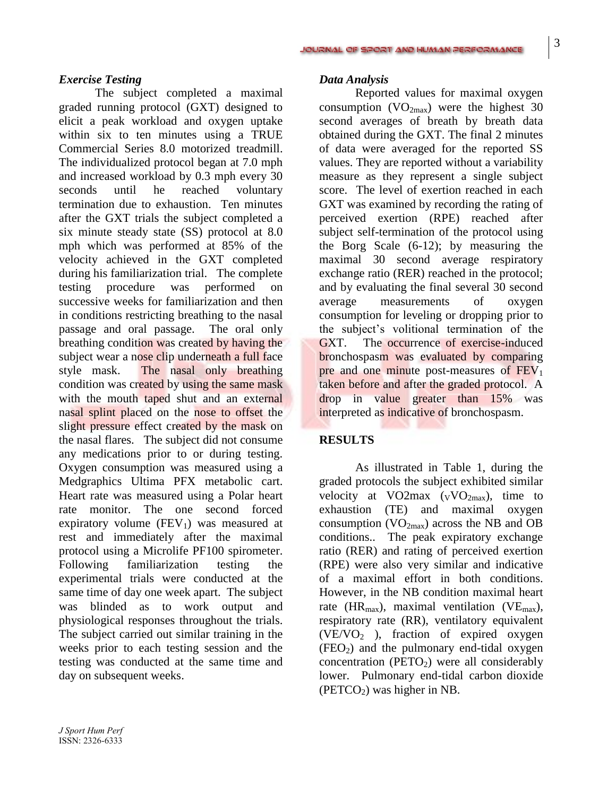#### *Exercise Testing*

The subject completed a maximal graded running protocol (GXT) designed to elicit a peak workload and oxygen uptake within six to ten minutes using a TRUE Commercial Series 8.0 motorized treadmill. The individualized protocol began at 7.0 mph and increased workload by 0.3 mph every 30 seconds until he reached voluntary termination due to exhaustion. Ten minutes after the GXT trials the subject completed a six minute steady state (SS) protocol at 8.0 mph which was performed at 85% of the velocity achieved in the GXT completed during his familiarization trial. The complete testing procedure was performed on successive weeks for familiarization and then in conditions restricting breathing to the nasal passage and oral passage. The oral only breathing condition was created by having the subject wear a nose clip underneath a full face style mask. The nasal only breathing condition was created by using the same mask with the mouth taped shut and an external nasal splint placed on the nose to offset the slight pressure effect created by the mask on the nasal flares. The subject did not consume any medications prior to or during testing. Oxygen consumption was measured using a Medgraphics Ultima PFX metabolic cart. Heart rate was measured using a Polar heart rate monitor. The one second forced expiratory volume  $(FEV_1)$  was measured at rest and immediately after the maximal protocol using a Microlife PF100 spirometer. Following familiarization testing the experimental trials were conducted at the same time of day one week apart. The subject was blinded as to work output and physiological responses throughout the trials. The subject carried out similar training in the weeks prior to each testing session and the testing was conducted at the same time and day on subsequent weeks.

### *Data Analysis*

Reported values for maximal oxygen consumption  $(VO_{2max})$  were the highest 30 second averages of breath by breath data obtained during the GXT. The final 2 minutes of data were averaged for the reported SS values. They are reported without a variability measure as they represent a single subject score. The level of exertion reached in each GXT was examined by recording the rating of perceived exertion (RPE) reached after subject self-termination of the protocol using the Borg Scale (6-12); by measuring the maximal 30 second average respiratory exchange ratio (RER) reached in the protocol; and by evaluating the final several 30 second average measurements of oxygen consumption for leveling or dropping prior to the subject's volitional termination of the GXT. The occurrence of exercise-induced bronchospasm was evaluated by comparing pre and one minute post-measures of  $FEV<sub>1</sub>$ taken before and after the graded protocol. A drop in value greater than 15% was interpreted as indicative of bronchospasm.

## **RESULTS**

As illustrated in Table 1, during the graded protocols the subject exhibited similar velocity at VO2max  $(vVO<sub>2max</sub>)$ , time to exhaustion (TE) and maximal oxygen consumption  $(VO_{2max})$  across the NB and OB conditions.. The peak expiratory exchange ratio (RER) and rating of perceived exertion (RPE) were also very similar and indicative of a maximal effort in both conditions. However, in the NB condition maximal heart rate (HR<sub>max</sub>), maximal ventilation (VE<sub>max</sub>), respiratory rate (RR), ventilatory equivalent  $(VE/VO<sub>2</sub>)$ , fraction of expired oxygen  $(FEO<sub>2</sub>)$  and the pulmonary end-tidal oxygen concentration ( $PETO<sub>2</sub>$ ) were all considerably lower. Pulmonary end-tidal carbon dioxide  $(PETCO<sub>2</sub>)$  was higher in NB.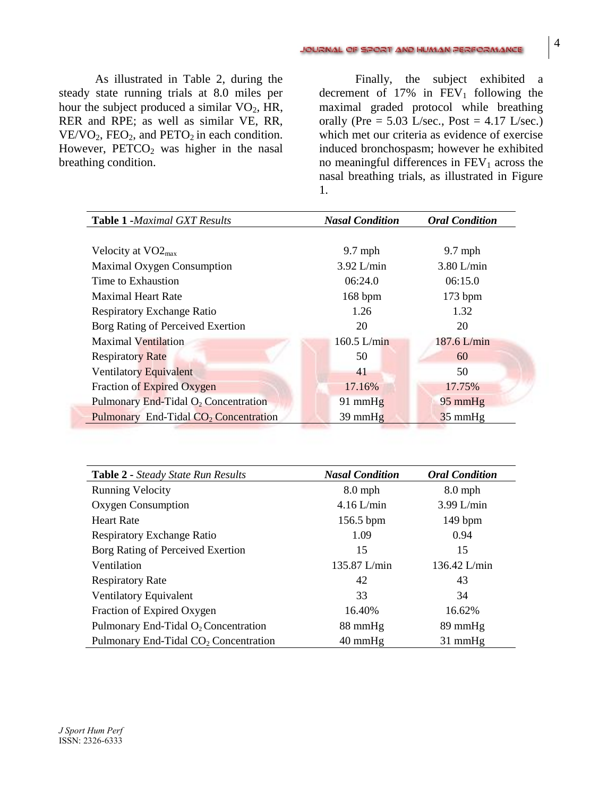As illustrated in Table 2, during the steady state running trials at 8.0 miles per hour the subject produced a similar  $VO<sub>2</sub>$ , HR, RER and RPE; as well as similar VE, RR,  $VE/VO_2$ ,  $FEO_2$ , and  $PETO_2$  in each condition. However,  $PETCO<sub>2</sub>$  was higher in the nasal breathing condition.

Finally, the subject exhibited a decrement of  $17\%$  in  $FEV_1$  following the maximal graded protocol while breathing orally (Pre =  $5.03$  L/sec., Post =  $4.17$  L/sec.) which met our criteria as evidence of exercise induced bronchospasm; however he exhibited no meaningful differences in  $FEV<sub>1</sub>$  across the nasal breathing trials, as illustrated in Figure 1.

| <b>Table 1 -Maximal GXT Results</b>               | <b>Nasal Condition</b> | <b>Oral Condition</b> |
|---------------------------------------------------|------------------------|-----------------------|
|                                                   |                        |                       |
| Velocity at $VO2_{max}$                           | $9.7$ mph              | $9.7$ mph             |
| Maximal Oxygen Consumption                        | $3.92$ L/min           | $3.80$ L/min          |
| Time to Exhaustion                                | 06:24.0                | 06:15.0               |
| <b>Maximal Heart Rate</b>                         | 168 bpm                | $173$ bpm             |
| <b>Respiratory Exchange Ratio</b>                 | 1.26                   | 1.32                  |
| Borg Rating of Perceived Exertion                 | 20                     | 20                    |
| <b>Maximal Ventilation</b>                        | $160.5$ L/min          | 187.6 L/min           |
| <b>Respiratory Rate</b>                           | 50                     | 60                    |
| Ventilatory Equivalent                            | 41                     | 50                    |
| Fraction of Expired Oxygen                        | 17.16%                 | 17.75%                |
| Pulmonary End-Tidal $O_2$ Concentration           | $91$ mmHg              | $95 \text{ mmHg}$     |
| Pulmonary End-Tidal CO <sub>2</sub> Concentration | $39$ mmHg              | $35$ mmHg             |

| <b>Table 2 - Steady State Run Results</b>         | <b>Nasal Condition</b> | <b>Oral Condition</b> |
|---------------------------------------------------|------------------------|-----------------------|
| <b>Running Velocity</b>                           | $8.0$ mph              | $8.0$ mph             |
| Oxygen Consumption                                | $4.16$ L/min           | $3.99$ L/min          |
| <b>Heart Rate</b>                                 | 156.5 bpm              | $149$ bpm             |
| <b>Respiratory Exchange Ratio</b>                 | 1.09                   | 0.94                  |
| Borg Rating of Perceived Exertion                 | 15                     | 15                    |
| Ventilation                                       | 135.87 L/min           | 136.42 L/min          |
| <b>Respiratory Rate</b>                           | 42                     | 43                    |
| Ventilatory Equivalent                            | 33                     | 34                    |
| Fraction of Expired Oxygen                        | 16.40%                 | 16.62%                |
| Pulmonary End-Tidal $O_2$ Concentration           | 88 mmHg                | $89 \text{ mmHg}$     |
| Pulmonary End-Tidal CO <sub>2</sub> Concentration | $40 \text{ mmHg}$      | $31$ mmHg             |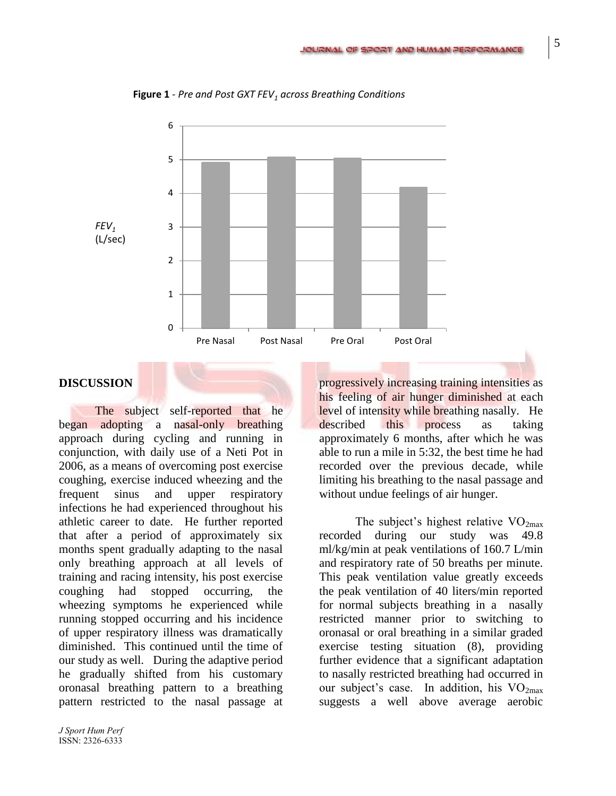

**Figure 1** - *Pre and Post GXT FEV<sup>1</sup> across Breathing Conditions*

## **DISCUSSION**

The subject self-reported that he began adopting a nasal-only breathing approach during cycling and running in conjunction, with daily use of a Neti Pot in 2006, as a means of overcoming post exercise coughing, exercise induced wheezing and the frequent sinus and upper respiratory infections he had experienced throughout his athletic career to date. He further reported that after a period of approximately six months spent gradually adapting to the nasal only breathing approach at all levels of training and racing intensity, his post exercise coughing had stopped occurring, the wheezing symptoms he experienced while running stopped occurring and his incidence of upper respiratory illness was dramatically diminished. This continued until the time of our study as well. During the adaptive period he gradually shifted from his customary oronasal breathing pattern to a breathing pattern restricted to the nasal passage at

progressively increasing training intensities as his feeling of air hunger diminished at each level of intensity while breathing nasally. He described this process as taking approximately 6 months, after which he was able to run a mile in 5:32, the best time he had recorded over the previous decade, while limiting his breathing to the nasal passage and without undue feelings of air hunger.

The subject's highest relative  $VO<sub>2max</sub>$ recorded during our study was 49.8 ml/kg/min at peak ventilations of 160.7 L/min and respiratory rate of 50 breaths per minute. This peak ventilation value greatly exceeds the peak ventilation of 40 liters/min reported for normal subjects breathing in a nasally restricted manner prior to switching to oronasal or oral breathing in a similar graded exercise testing situation (8), providing further evidence that a significant adaptation to nasally restricted breathing had occurred in our subject's case. In addition, his  $VO<sub>2max</sub>$ suggests a well above average aerobic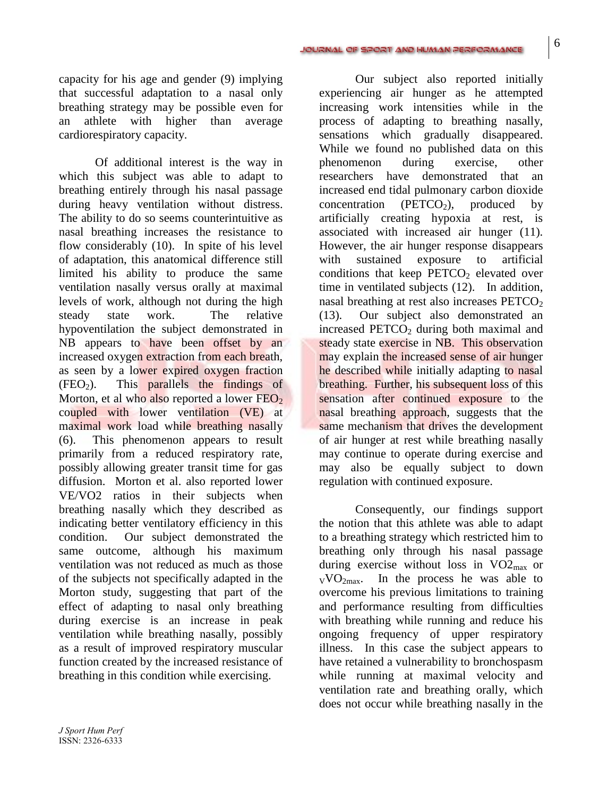#### JOURNAL OF SPORT AND HUMAN PERFORMANCE

capacity for his age and gender (9) implying that successful adaptation to a nasal only breathing strategy may be possible even for an athlete with higher than average cardiorespiratory capacity.

Of additional interest is the way in which this subject was able to adapt to breathing entirely through his nasal passage during heavy ventilation without distress. The ability to do so seems counterintuitive as nasal breathing increases the resistance to flow considerably (10). In spite of his level of adaptation, this anatomical difference still limited his ability to produce the same ventilation nasally versus orally at maximal levels of work, although not during the high steady state work. The relative hypoventilation the subject demonstrated in NB appears to have been offset by an increased oxygen extraction from each breath, as seen by a lower expired oxygen fraction  $(FEO<sub>2</sub>)$ . This parallels the findings of Morton, et al who also reported a lower  $FEO_2$ coupled with lower ventilation (VE) at maximal work load while breathing nasally (6). This phenomenon appears to result primarily from a reduced respiratory rate, possibly allowing greater transit time for gas diffusion. Morton et al. also reported lower VE/VO2 ratios in their subjects when breathing nasally which they described as indicating better ventilatory efficiency in this condition. Our subject demonstrated the same outcome, although his maximum ventilation was not reduced as much as those of the subjects not specifically adapted in the Morton study, suggesting that part of the effect of adapting to nasal only breathing during exercise is an increase in peak ventilation while breathing nasally, possibly as a result of improved respiratory muscular function created by the increased resistance of breathing in this condition while exercising.

Our subject also reported initially experiencing air hunger as he attempted increasing work intensities while in the process of adapting to breathing nasally, sensations which gradually disappeared. While we found no published data on this phenomenon during exercise, other researchers have demonstrated that an increased end tidal pulmonary carbon dioxide concentration (PETCO<sub>2</sub>), produced by artificially creating hypoxia at rest, is associated with increased air hunger (11). However, the air hunger response disappears with sustained exposure to artificial conditions that keep  $PETCO<sub>2</sub>$  elevated over time in ventilated subjects (12). In addition, nasal breathing at rest also increases  $PETCO<sub>2</sub>$ (13). Our subject also demonstrated an increased  $PETCO<sub>2</sub>$  during both maximal and steady state exercise in NB. This observation may explain the increased sense of air hunger he described while initially adapting to nasal breathing. Further, his subsequent loss of this sensation after continued exposure to the nasal breathing approach, suggests that the same mechanism that drives the development of air hunger at rest while breathing nasally may continue to operate during exercise and may also be equally subject to down regulation with continued exposure.

Consequently, our findings support the notion that this athlete was able to adapt to a breathing strategy which restricted him to breathing only through his nasal passage during exercise without loss in  $VO2_{max}$  or  $VVO<sub>2max</sub>$ . In the process he was able to overcome his previous limitations to training and performance resulting from difficulties with breathing while running and reduce his ongoing frequency of upper respiratory illness. In this case the subject appears to have retained a vulnerability to bronchospasm while running at maximal velocity and ventilation rate and breathing orally, which does not occur while breathing nasally in the